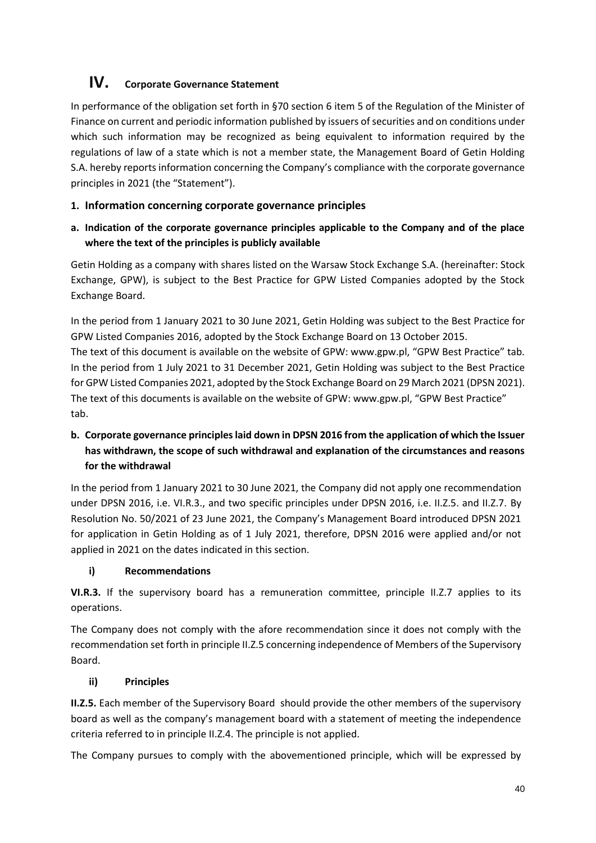# **IV. Corporate Governance Statement**

In performance of the obligation set forth in §70 section 6 item 5 of the Regulation of the Minister of Finance on current and periodic information published by issuers of securities and on conditions under which such information may be recognized as being equivalent to information required by the regulations of law of a state which is not a member state, the Management Board of Getin Holding S.A. hereby reports information concerning the Company's compliance with the corporate governance principles in 2021 (the "Statement").

## **1. Information concerning corporate governance principles**

**a. Indication of the corporate governance principles applicable to the Company and of the place where the text of the principles is publicly available**

Getin Holding as a company with shares listed on the Warsaw Stock Exchange S.A. (hereinafter: Stock Exchange, GPW), is subject to the Best Practice for GPW Listed Companies adopted by the Stock Exchange Board.

In the period from 1 January 2021 to 30 June 2021, Getin Holding was subject to the Best Practice for GPW Listed Companies 2016, adopted by the Stock Exchange Board on 13 October 2015. The text of this document is available on the website of GPW: www.gpw.pl, "GPW Best Practice" tab. In the period from 1 July 2021 to 31 December 2021, Getin Holding was subject to the Best Practice for GPW Listed Companies 2021, adopted by the Stock Exchange Board on 29 March 2021 (DPSN 2021). The text of this documents is available on the website of GPW: www.gpw.pl, "GPW Best Practice" tab.

# **b. Corporate governance principles laid down in DPSN 2016 from the application of which the Issuer has withdrawn, the scope of such withdrawal and explanation of the circumstances and reasons for the withdrawal**

In the period from 1 January 2021 to 30 June 2021, the Company did not apply one recommendation under DPSN 2016, i.e. VI.R.3., and two specific principles under DPSN 2016, i.e. II.Z.5. and II.Z.7. By Resolution No. 50/2021 of 23 June 2021, the Company's Management Board introduced DPSN 2021 for application in Getin Holding as of 1 July 2021, therefore, DPSN 2016 were applied and/or not applied in 2021 on the dates indicated in this section.

## **i) Recommendations**

**VI.R.3.** If the supervisory board has a remuneration committee, principle II.Z.7 applies to its operations.

The Company does not comply with the afore recommendation since it does not comply with the recommendation set forth in principle II.Z.5 concerning independence of Members of the Supervisory Board.

## **ii) Principles**

**II.Z.5.** Each member of the Supervisory Board should provide the other members of the supervisory board as well as the company's management board with a statement of meeting the independence criteria referred to in principle II.Z.4. The principle is not applied.

The Company pursues to comply with the abovementioned principle, which will be expressed by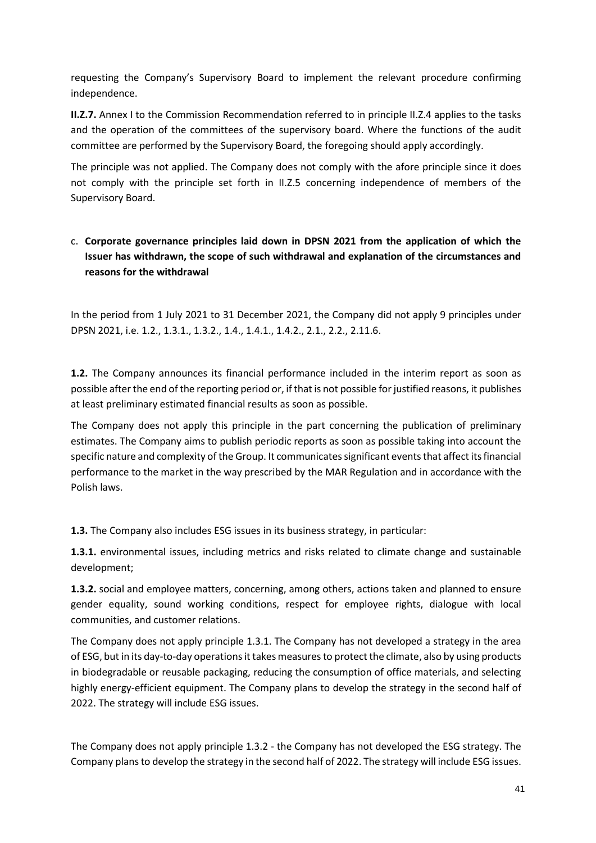requesting the Company's Supervisory Board to implement the relevant procedure confirming independence.

**II.Z.7.** Annex I to the Commission Recommendation referred to in principle II.Z.4 applies to the tasks and the operation of the committees of the supervisory board. Where the functions of the audit committee are performed by the Supervisory Board, the foregoing should apply accordingly.

The principle was not applied. The Company does not comply with the afore principle since it does not comply with the principle set forth in II.Z.5 concerning independence of members of the Supervisory Board.

# c. **Corporate governance principles laid down in DPSN 2021 from the application of which the Issuer has withdrawn, the scope of such withdrawal and explanation of the circumstances and reasons for the withdrawal**

In the period from 1 July 2021 to 31 December 2021, the Company did not apply 9 principles under DPSN 2021, i.e. 1.2., 1.3.1., 1.3.2., 1.4., 1.4.1., 1.4.2., 2.1., 2.2., 2.11.6.

**1.2.** The Company announces its financial performance included in the interim report as soon as possible after the end of the reporting period or, if that is not possible for justified reasons, it publishes at least preliminary estimated financial results as soon as possible.

The Company does not apply this principle in the part concerning the publication of preliminary estimates. The Company aims to publish periodic reports as soon as possible taking into account the specific nature and complexity of the Group. It communicates significant events that affect its financial performance to the market in the way prescribed by the MAR Regulation and in accordance with the Polish laws.

**1.3.** The Company also includes ESG issues in its business strategy, in particular:

**1.3.1.** environmental issues, including metrics and risks related to climate change and sustainable development;

**1.3.2.** social and employee matters, concerning, among others, actions taken and planned to ensure gender equality, sound working conditions, respect for employee rights, dialogue with local communities, and customer relations.

The Company does not apply principle 1.3.1. The Company has not developed a strategy in the area of ESG, but in its day-to-day operations it takes measures to protect the climate, also by using products in biodegradable or reusable packaging, reducing the consumption of office materials, and selecting highly energy-efficient equipment. The Company plans to develop the strategy in the second half of 2022. The strategy will include ESG issues.

The Company does not apply principle 1.3.2 - the Company has not developed the ESG strategy. The Company plans to develop the strategy in the second half of 2022. The strategy will include ESG issues.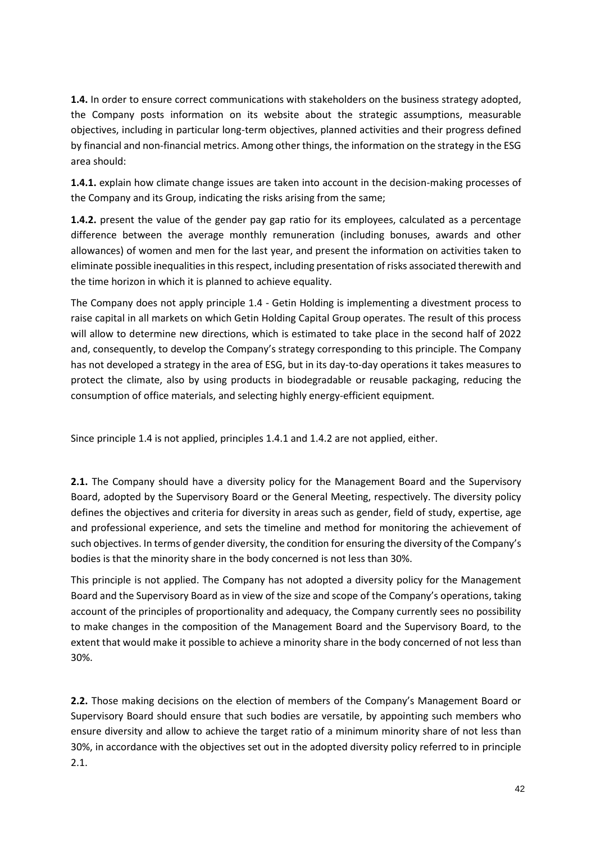**1.4.** In order to ensure correct communications with stakeholders on the business strategy adopted, the Company posts information on its website about the strategic assumptions, measurable objectives, including in particular long-term objectives, planned activities and their progress defined by financial and non-financial metrics. Among other things, the information on the strategy in the ESG area should:

**1.4.1.** explain how climate change issues are taken into account in the decision-making processes of the Company and its Group, indicating the risks arising from the same;

**1.4.2.** present the value of the gender pay gap ratio for its employees, calculated as a percentage difference between the average monthly remuneration (including bonuses, awards and other allowances) of women and men for the last year, and present the information on activities taken to eliminate possible inequalities in this respect, including presentation of risks associated therewith and the time horizon in which it is planned to achieve equality.

The Company does not apply principle 1.4 - Getin Holding is implementing a divestment process to raise capital in all markets on which Getin Holding Capital Group operates. The result of this process will allow to determine new directions, which is estimated to take place in the second half of 2022 and, consequently, to develop the Company's strategy corresponding to this principle. The Company has not developed a strategy in the area of ESG, but in its day-to-day operations it takes measures to protect the climate, also by using products in biodegradable or reusable packaging, reducing the consumption of office materials, and selecting highly energy-efficient equipment.

Since principle 1.4 is not applied, principles 1.4.1 and 1.4.2 are not applied, either.

**2.1.** The Company should have a diversity policy for the Management Board and the Supervisory Board, adopted by the Supervisory Board or the General Meeting, respectively. The diversity policy defines the objectives and criteria for diversity in areas such as gender, field of study, expertise, age and professional experience, and sets the timeline and method for monitoring the achievement of such objectives. In terms of gender diversity, the condition for ensuring the diversity of the Company's bodies is that the minority share in the body concerned is not less than 30%.

This principle is not applied. The Company has not adopted a diversity policy for the Management Board and the Supervisory Board as in view of the size and scope of the Company's operations, taking account of the principles of proportionality and adequacy, the Company currently sees no possibility to make changes in the composition of the Management Board and the Supervisory Board, to the extent that would make it possible to achieve a minority share in the body concerned of not less than 30%.

**2.2.** Those making decisions on the election of members of the Company's Management Board or Supervisory Board should ensure that such bodies are versatile, by appointing such members who ensure diversity and allow to achieve the target ratio of a minimum minority share of not less than 30%, in accordance with the objectives set out in the adopted diversity policy referred to in principle 2.1.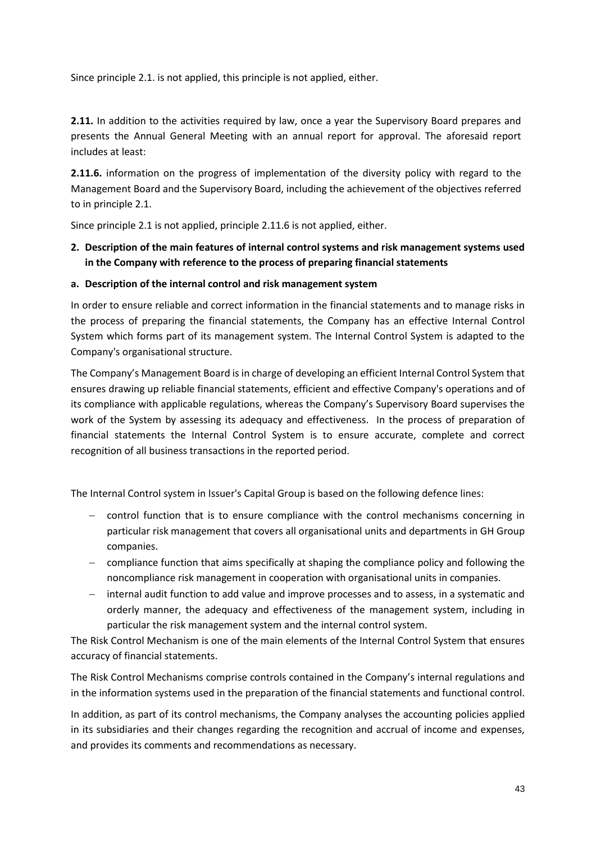Since principle 2.1. is not applied, this principle is not applied, either.

**2.11.** In addition to the activities required by law, once a year the Supervisory Board prepares and presents the Annual General Meeting with an annual report for approval. The aforesaid report includes at least:

**2.11.6.** information on the progress of implementation of the diversity policy with regard to the Management Board and the Supervisory Board, including the achievement of the objectives referred to in principle 2.1.

Since principle 2.1 is not applied, principle 2.11.6 is not applied, either.

**2. Description of the main features of internal control systems and risk management systems used in the Company with reference to the process of preparing financial statements**

### **a. Description of the internal control and risk management system**

In order to ensure reliable and correct information in the financial statements and to manage risks in the process of preparing the financial statements, the Company has an effective Internal Control System which forms part of its management system. The Internal Control System is adapted to the Company's organisational structure.

The Company's Management Board is in charge of developing an efficient Internal Control System that ensures drawing up reliable financial statements, efficient and effective Company's operations and of its compliance with applicable regulations, whereas the Company's Supervisory Board supervises the work of the System by assessing its adequacy and effectiveness. In the process of preparation of financial statements the Internal Control System is to ensure accurate, complete and correct recognition of all business transactions in the reported period.

The Internal Control system in Issuer's Capital Group is based on the following defence lines:

- − control function that is to ensure compliance with the control mechanisms concerning in particular risk management that covers all organisational units and departments in GH Group companies.
- − compliance function that aims specifically at shaping the compliance policy and following the noncompliance risk management in cooperation with organisational units in companies.
- − internal audit function to add value and improve processes and to assess, in a systematic and orderly manner, the adequacy and effectiveness of the management system, including in particular the risk management system and the internal control system.

The Risk Control Mechanism is one of the main elements of the Internal Control System that ensures accuracy of financial statements.

The Risk Control Mechanisms comprise controls contained in the Company's internal regulations and in the information systems used in the preparation of the financial statements and functional control.

In addition, as part of its control mechanisms, the Company analyses the accounting policies applied in its subsidiaries and their changes regarding the recognition and accrual of income and expenses, and provides its comments and recommendations as necessary.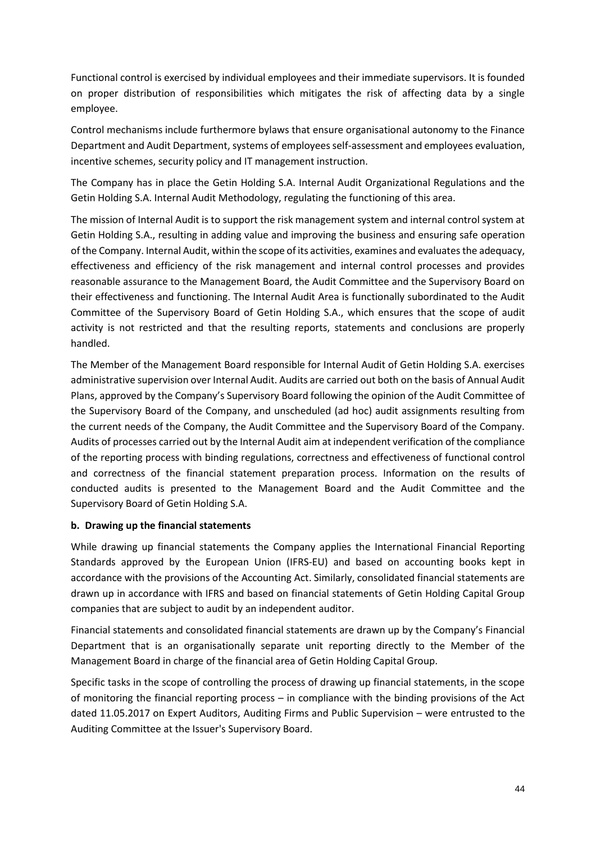Functional control is exercised by individual employees and their immediate supervisors. It is founded on proper distribution of responsibilities which mitigates the risk of affecting data by a single employee.

Control mechanisms include furthermore bylaws that ensure organisational autonomy to the Finance Department and Audit Department, systems of employees self-assessment and employees evaluation, incentive schemes, security policy and IT management instruction.

The Company has in place the Getin Holding S.A. Internal Audit Organizational Regulations and the Getin Holding S.A. Internal Audit Methodology, regulating the functioning of this area.

The mission of Internal Audit is to support the risk management system and internal control system at Getin Holding S.A., resulting in adding value and improving the business and ensuring safe operation of the Company. Internal Audit, within the scope of its activities, examines and evaluates the adequacy, effectiveness and efficiency of the risk management and internal control processes and provides reasonable assurance to the Management Board, the Audit Committee and the Supervisory Board on their effectiveness and functioning. The Internal Audit Area is functionally subordinated to the Audit Committee of the Supervisory Board of Getin Holding S.A., which ensures that the scope of audit activity is not restricted and that the resulting reports, statements and conclusions are properly handled.

The Member of the Management Board responsible for Internal Audit of Getin Holding S.A. exercises administrative supervision over Internal Audit. Audits are carried out both on the basis of Annual Audit Plans, approved by the Company's Supervisory Board following the opinion of the Audit Committee of the Supervisory Board of the Company, and unscheduled (ad hoc) audit assignments resulting from the current needs of the Company, the Audit Committee and the Supervisory Board of the Company. Audits of processes carried out by the Internal Audit aim at independent verification of the compliance of the reporting process with binding regulations, correctness and effectiveness of functional control and correctness of the financial statement preparation process. Information on the results of conducted audits is presented to the Management Board and the Audit Committee and the Supervisory Board of Getin Holding S.A.

## **b. Drawing up the financial statements**

While drawing up financial statements the Company applies the International Financial Reporting Standards approved by the European Union (IFRS-EU) and based on accounting books kept in accordance with the provisions of the Accounting Act. Similarly, consolidated financial statements are drawn up in accordance with IFRS and based on financial statements of Getin Holding Capital Group companies that are subject to audit by an independent auditor.

Financial statements and consolidated financial statements are drawn up by the Company's Financial Department that is an organisationally separate unit reporting directly to the Member of the Management Board in charge of the financial area of Getin Holding Capital Group.

Specific tasks in the scope of controlling the process of drawing up financial statements, in the scope of monitoring the financial reporting process – in compliance with the binding provisions of the Act dated 11.05.2017 on Expert Auditors, Auditing Firms and Public Supervision – were entrusted to the Auditing Committee at the Issuer's Supervisory Board.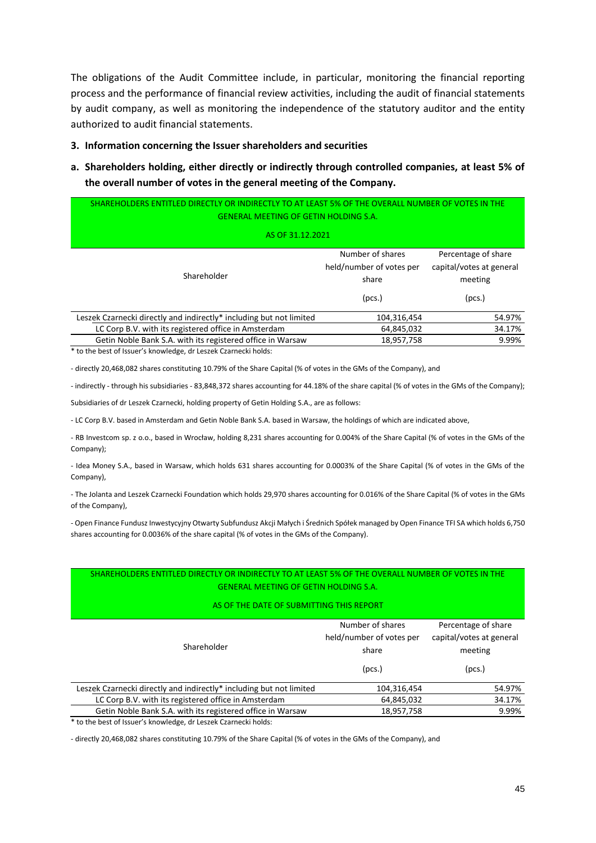The obligations of the Audit Committee include, in particular, monitoring the financial reporting process and the performance of financial review activities, including the audit of financial statements by audit company, as well as monitoring the independence of the statutory auditor and the entity authorized to audit financial statements.

#### **3. Information concerning the Issuer shareholders and securities**

**a. Shareholders holding, either directly or indirectly through controlled companies, at least 5% of the overall number of votes in the general meeting of the Company.** 

| SHAREHOLDERS ENTITLED DIRECTLY OR INDIRECTLY TO AT LEAST 5% OF THE OVERALL NUMBER OF VOTES IN THE<br><b>GENERAL MEETING OF GETIN HOLDING S.A.</b> |                                                       |                                                            |
|---------------------------------------------------------------------------------------------------------------------------------------------------|-------------------------------------------------------|------------------------------------------------------------|
| AS OF 31.12.2021                                                                                                                                  |                                                       |                                                            |
| Shareholder                                                                                                                                       | Number of shares<br>held/number of votes per<br>share | Percentage of share<br>capital/votes at general<br>meeting |
| Leszek Czarnecki directly and indirectly* including but not limited                                                                               | (pcs.)<br>104,316,454                                 | (pcs.)<br>54.97%                                           |
| LC Corp B.V. with its registered office in Amsterdam                                                                                              | 64,845,032                                            | 34.17%                                                     |
| Getin Noble Bank S.A. with its registered office in Warsaw                                                                                        | 18,957,758                                            | 9.99%                                                      |

\* to the best of Issuer's knowledge, dr Leszek Czarnecki holds:

- directly 20,468,082 shares constituting 10.79% of the Share Capital (% of votes in the GMs of the Company), and

- indirectly - through his subsidiaries - 83,848,372 shares accounting for 44.18% of the share capital (% of votes in the GMs of the Company);

Subsidiaries of dr Leszek Czarnecki, holding property of Getin Holding S.A., are as follows:

- LC Corp B.V. based in Amsterdam and Getin Noble Bank S.A. based in Warsaw, the holdings of which are indicated above,

- RB Investcom sp. z o.o., based in Wrocław, holding 8,231 shares accounting for 0.004% of the Share Capital (% of votes in the GMs of the Company);

- Idea Money S.A., based in Warsaw, which holds 631 shares accounting for 0.0003% of the Share Capital (% of votes in the GMs of the Company),

- The Jolanta and Leszek Czarnecki Foundation which holds 29,970 shares accounting for 0.016% of the Share Capital (% of votes in the GMs of the Company),

- Open Finance Fundusz Inwestycyjny Otwarty Subfundusz Akcji Małych i Średnich Spółek managed by Open Finance TFI SA which holds 6,750 shares accounting for 0.0036% of the share capital (% of votes in the GMs of the Company).

#### SHAREHOLDERS ENTITLED DIRECTLY OR INDIRECTLY TO AT LEAST 5% OF THE OVERALL NUMBER OF VOTES IN THE GENERAL MEETING OF GETIN HOLDING S.A.

#### AS OF THE DATE OF SUBMITTING THIS REPORT

| Shareholder                                                         | Number of shares<br>held/number of votes per<br>share | Percentage of share<br>capital/votes at general<br>meeting |
|---------------------------------------------------------------------|-------------------------------------------------------|------------------------------------------------------------|
|                                                                     | (pcs.)                                                | (pcs.)                                                     |
| Leszek Czarnecki directly and indirectly* including but not limited | 104,316,454                                           | 54.97%                                                     |
| LC Corp B.V. with its registered office in Amsterdam                | 64,845,032                                            | 34.17%                                                     |
| Getin Noble Bank S.A. with its registered office in Warsaw          | 18,957,758                                            | 9.99%                                                      |

\* to the best of Issuer's knowledge, dr Leszek Czarnecki holds:

- directly 20,468,082 shares constituting 10.79% of the Share Capital (% of votes in the GMs of the Company), and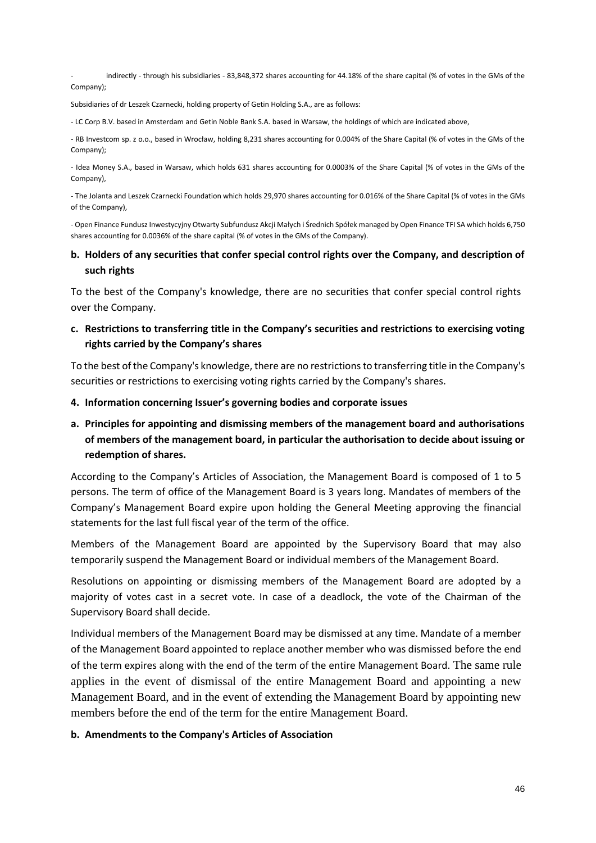- indirectly - through his subsidiaries - 83,848,372 shares accounting for 44.18% of the share capital (% of votes in the GMs of the Company);

Subsidiaries of dr Leszek Czarnecki, holding property of Getin Holding S.A., are as follows:

- LC Corp B.V. based in Amsterdam and Getin Noble Bank S.A. based in Warsaw, the holdings of which are indicated above,

- RB Investcom sp. z o.o., based in Wrocław, holding 8,231 shares accounting for 0.004% of the Share Capital (% of votes in the GMs of the Company);

- Idea Money S.A., based in Warsaw, which holds 631 shares accounting for 0.0003% of the Share Capital (% of votes in the GMs of the Company),

- The Jolanta and Leszek Czarnecki Foundation which holds 29,970 shares accounting for 0.016% of the Share Capital (% of votes in the GMs of the Company),

- Open Finance Fundusz Inwestycyjny Otwarty Subfundusz Akcji Małych i Średnich Spółek managed by Open Finance TFI SA which holds 6,750 shares accounting for 0.0036% of the share capital (% of votes in the GMs of the Company).

## **b. Holders of any securities that confer special control rights over the Company, and description of such rights**

To the best of the Company's knowledge, there are no securities that confer special control rights over the Company.

## **c. Restrictions to transferring title in the Company's securities and restrictions to exercising voting rights carried by the Company's shares**

To the best of the Company's knowledge, there are no restrictions to transferring title in the Company's securities or restrictions to exercising voting rights carried by the Company's shares.

- **4. Information concerning Issuer's governing bodies and corporate issues**
- **a. Principles for appointing and dismissing members of the management board and authorisations of members of the management board, in particular the authorisation to decide about issuing or redemption of shares.**

According to the Company's Articles of Association, the Management Board is composed of 1 to 5 persons. The term of office of the Management Board is 3 years long. Mandates of members of the Company's Management Board expire upon holding the General Meeting approving the financial statements for the last full fiscal year of the term of the office.

Members of the Management Board are appointed by the Supervisory Board that may also temporarily suspend the Management Board or individual members of the Management Board.

Resolutions on appointing or dismissing members of the Management Board are adopted by a majority of votes cast in a secret vote. In case of a deadlock, the vote of the Chairman of the Supervisory Board shall decide.

Individual members of the Management Board may be dismissed at any time. Mandate of a member of the Management Board appointed to replace another member who was dismissed before the end of the term expires along with the end of the term of the entire Management Board. The same rule applies in the event of dismissal of the entire Management Board and appointing a new Management Board, and in the event of extending the Management Board by appointing new members before the end of the term for the entire Management Board.

#### **b. Amendments to the Company's Articles of Association**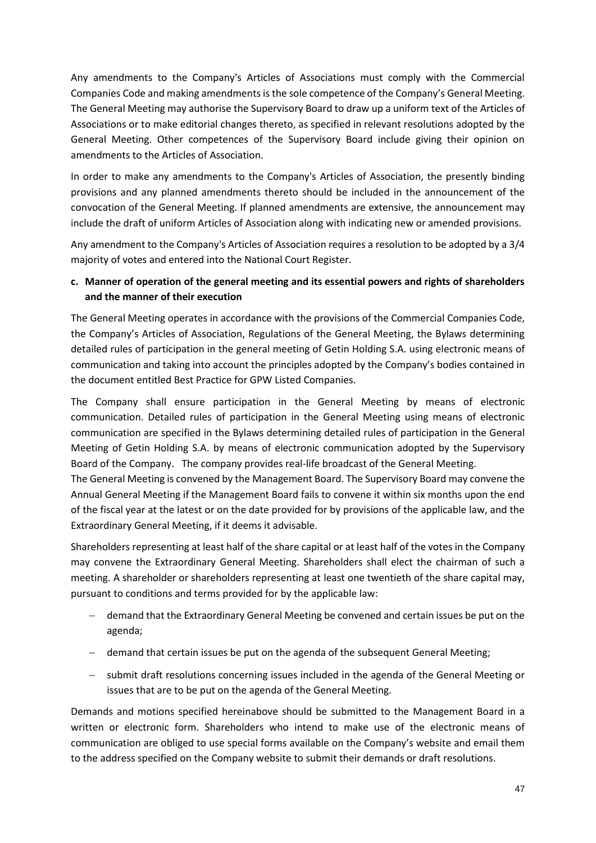Any amendments to the Company's Articles of Associations must comply with the Commercial Companies Code and making amendments is the sole competence of the Company's General Meeting. The General Meeting may authorise the Supervisory Board to draw up a uniform text of the Articles of Associations or to make editorial changes thereto, as specified in relevant resolutions adopted by the General Meeting. Other competences of the Supervisory Board include giving their opinion on amendments to the Articles of Association.

In order to make any amendments to the Company's Articles of Association, the presently binding provisions and any planned amendments thereto should be included in the announcement of the convocation of the General Meeting. If planned amendments are extensive, the announcement may include the draft of uniform Articles of Association along with indicating new or amended provisions.

Any amendment to the Company's Articles of Association requires a resolution to be adopted by a 3/4 majority of votes and entered into the National Court Register.

# **c. Manner of operation of the general meeting and its essential powers and rights of shareholders and the manner of their execution**

The General Meeting operates in accordance with the provisions of the Commercial Companies Code, the Company's Articles of Association, Regulations of the General Meeting, the Bylaws determining detailed rules of participation in the general meeting of Getin Holding S.A. using electronic means of communication and taking into account the principles adopted by the Company's bodies contained in the document entitled Best Practice for GPW Listed Companies.

The Company shall ensure participation in the General Meeting by means of electronic communication. Detailed rules of participation in the General Meeting using means of electronic communication are specified in the Bylaws determining detailed rules of participation in the General Meeting of Getin Holding S.A. by means of electronic communication adopted by the Supervisory Board of the Company. The company provides real-life broadcast of the General Meeting.

The General Meeting is convened by the Management Board. The Supervisory Board may convene the Annual General Meeting if the Management Board fails to convene it within six months upon the end of the fiscal year at the latest or on the date provided for by provisions of the applicable law, and the Extraordinary General Meeting, if it deems it advisable.

Shareholders representing at least half of the share capital or at least half of the votes in the Company may convene the Extraordinary General Meeting. Shareholders shall elect the chairman of such a meeting. A shareholder or shareholders representing at least one twentieth of the share capital may, pursuant to conditions and terms provided for by the applicable law:

- − demand that the Extraordinary General Meeting be convened and certain issues be put on the agenda;
- − demand that certain issues be put on the agenda of the subsequent General Meeting;
- − submit draft resolutions concerning issues included in the agenda of the General Meeting or issues that are to be put on the agenda of the General Meeting.

Demands and motions specified hereinabove should be submitted to the Management Board in a written or electronic form. Shareholders who intend to make use of the electronic means of communication are obliged to use special forms available on the Company's website and email them to the address specified on the Company website to submit their demands or draft resolutions.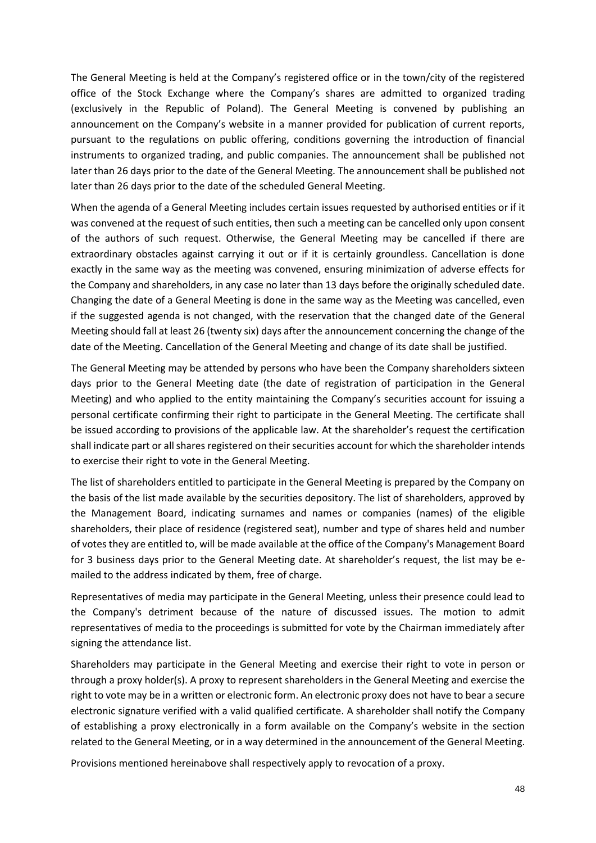The General Meeting is held at the Company's registered office or in the town/city of the registered office of the Stock Exchange where the Company's shares are admitted to organized trading (exclusively in the Republic of Poland). The General Meeting is convened by publishing an announcement on the Company's website in a manner provided for publication of current reports, pursuant to the regulations on public offering, conditions governing the introduction of financial instruments to organized trading, and public companies. The announcement shall be published not later than 26 days prior to the date of the General Meeting. The announcement shall be published not later than 26 days prior to the date of the scheduled General Meeting.

When the agenda of a General Meeting includes certain issues requested by authorised entities or if it was convened at the request of such entities, then such a meeting can be cancelled only upon consent of the authors of such request. Otherwise, the General Meeting may be cancelled if there are extraordinary obstacles against carrying it out or if it is certainly groundless. Cancellation is done exactly in the same way as the meeting was convened, ensuring minimization of adverse effects for the Company and shareholders, in any case no later than 13 days before the originally scheduled date. Changing the date of a General Meeting is done in the same way as the Meeting was cancelled, even if the suggested agenda is not changed, with the reservation that the changed date of the General Meeting should fall at least 26 (twenty six) days after the announcement concerning the change of the date of the Meeting. Cancellation of the General Meeting and change of its date shall be justified.

The General Meeting may be attended by persons who have been the Company shareholders sixteen days prior to the General Meeting date (the date of registration of participation in the General Meeting) and who applied to the entity maintaining the Company's securities account for issuing a personal certificate confirming their right to participate in the General Meeting. The certificate shall be issued according to provisions of the applicable law. At the shareholder's request the certification shall indicate part or all shares registered on their securities account for which the shareholder intends to exercise their right to vote in the General Meeting.

The list of shareholders entitled to participate in the General Meeting is prepared by the Company on the basis of the list made available by the securities depository. The list of shareholders, approved by the Management Board, indicating surnames and names or companies (names) of the eligible shareholders, their place of residence (registered seat), number and type of shares held and number of votes they are entitled to, will be made available at the office of the Company's Management Board for 3 business days prior to the General Meeting date. At shareholder's request, the list may be emailed to the address indicated by them, free of charge.

Representatives of media may participate in the General Meeting, unless their presence could lead to the Company's detriment because of the nature of discussed issues. The motion to admit representatives of media to the proceedings is submitted for vote by the Chairman immediately after signing the attendance list.

Shareholders may participate in the General Meeting and exercise their right to vote in person or through a proxy holder(s). A proxy to represent shareholders in the General Meeting and exercise the right to vote may be in a written or electronic form. An electronic proxy does not have to bear a secure electronic signature verified with a valid qualified certificate. A shareholder shall notify the Company of establishing a proxy electronically in a form available on the Company's website in the section related to the General Meeting, or in a way determined in the announcement of the General Meeting.

Provisions mentioned hereinabove shall respectively apply to revocation of a proxy.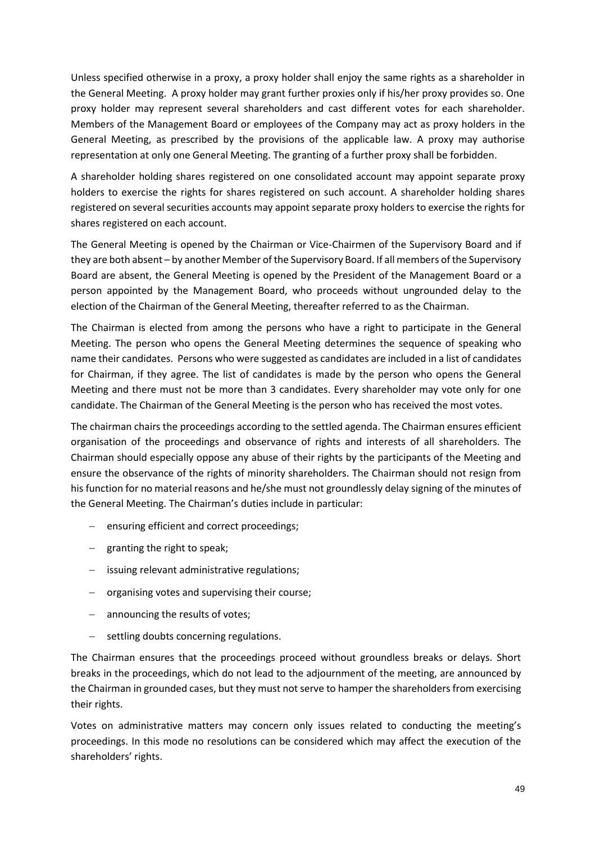Unless specified otherwise in a proxy, a proxy holder shall enjoy the same rights as a shareholder in the General Meeting. A proxy holder may grant further proxies only if his/her proxy provides so. One proxy holder may represent several shareholders and cast different votes for each shareholder. Members of the Management Board or employees of the Company may act as proxy holders in the General Meeting, as prescribed by the provisions of the applicable law. A proxy may authorise representation at only one General Meeting. The granting of a further proxy shall be forbidden.

A shareholder holding shares registered on one consolidated account may appoint separate proxy holders to exercise the rights for shares registered on such account. A shareholder holding shares registered on several securities accounts may appoint separate proxy holders to exercise the rights for shares registered on each account.

The General Meeting is opened by the Chairman or Vice-Chairmen of the Supervisory Board and if they are both absent – by another Member of the Supervisory Board. If all members of the Supervisory Board are absent, the General Meeting is opened by the President of the Management Board or a person appointed by the Management Board, who proceeds without ungrounded delay to the election of the Chairman of the General Meeting, thereafter referred to as the Chairman.

The Chairman is elected from among the persons who have a right to participate in the General Meeting. The person who opens the General Meeting determines the sequence of speaking who name their candidates. Persons who were suggested as candidates are included in a list of candidates for Chairman, if they agree. The list of candidates is made by the person who opens the General Meeting and there must not be more than 3 candidates. Every shareholder may vote only for one candidate. The Chairman of the General Meeting is the person who has received the most votes.

The chairman chairs the proceedings according to the settled agenda. The Chairman ensures efficient organisation of the proceedings and observance of rights and interests of all shareholders. The Chairman should especially oppose any abuse of their rights by the participants of the Meeting and ensure the observance of the rights of minority shareholders. The Chairman should not resign from his function for no material reasons and he/she must not groundlessly delay signing of the minutes of the General Meeting. The Chairman's duties include in particular:

- − ensuring efficient and correct proceedings;
- − granting the right to speak;
- − issuing relevant administrative regulations;
- − organising votes and supervising their course;
- − announcing the results of votes;
- − settling doubts concerning regulations.

The Chairman ensures that the proceedings proceed without groundless breaks or delays. Short breaks in the proceedings, which do not lead to the adjournment of the meeting, are announced by the Chairman in grounded cases, but they must not serve to hamper the shareholders from exercising their rights.

Votes on administrative matters may concern only issues related to conducting the meeting's proceedings. In this mode no resolutions can be considered which may affect the execution of the shareholders' rights.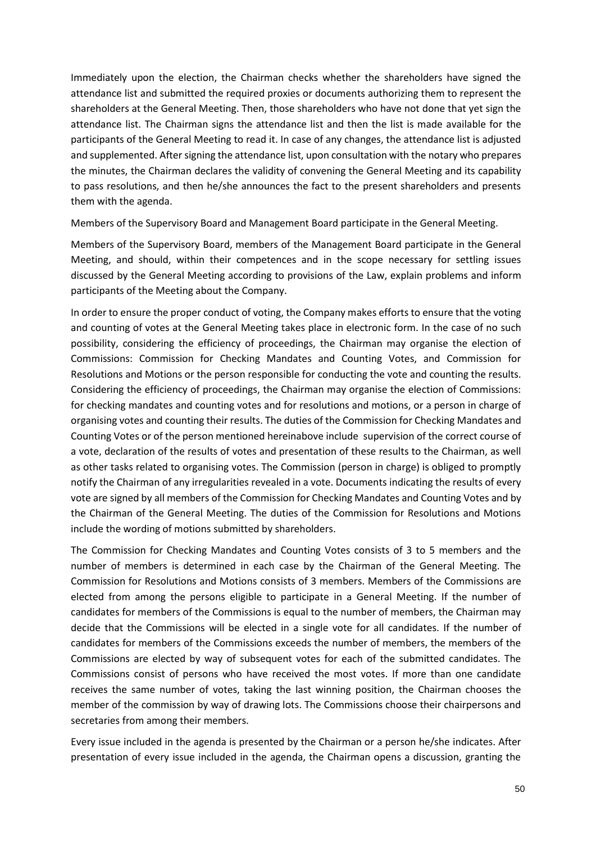Immediately upon the election, the Chairman checks whether the shareholders have signed the attendance list and submitted the required proxies or documents authorizing them to represent the shareholders at the General Meeting. Then, those shareholders who have not done that yet sign the attendance list. The Chairman signs the attendance list and then the list is made available for the participants of the General Meeting to read it. In case of any changes, the attendance list is adjusted and supplemented. After signing the attendance list, upon consultation with the notary who prepares the minutes, the Chairman declares the validity of convening the General Meeting and its capability to pass resolutions, and then he/she announces the fact to the present shareholders and presents them with the agenda.

Members of the Supervisory Board and Management Board participate in the General Meeting.

Members of the Supervisory Board, members of the Management Board participate in the General Meeting, and should, within their competences and in the scope necessary for settling issues discussed by the General Meeting according to provisions of the Law, explain problems and inform participants of the Meeting about the Company.

In order to ensure the proper conduct of voting, the Company makes efforts to ensure that the voting and counting of votes at the General Meeting takes place in electronic form. In the case of no such possibility, considering the efficiency of proceedings, the Chairman may organise the election of Commissions: Commission for Checking Mandates and Counting Votes, and Commission for Resolutions and Motions or the person responsible for conducting the vote and counting the results. Considering the efficiency of proceedings, the Chairman may organise the election of Commissions: for checking mandates and counting votes and for resolutions and motions, or a person in charge of organising votes and counting their results. The duties of the Commission for Checking Mandates and Counting Votes or of the person mentioned hereinabove include supervision of the correct course of a vote, declaration of the results of votes and presentation of these results to the Chairman, as well as other tasks related to organising votes. The Commission (person in charge) is obliged to promptly notify the Chairman of any irregularities revealed in a vote. Documents indicating the results of every vote are signed by all members of the Commission for Checking Mandates and Counting Votes and by the Chairman of the General Meeting. The duties of the Commission for Resolutions and Motions include the wording of motions submitted by shareholders.

The Commission for Checking Mandates and Counting Votes consists of 3 to 5 members and the number of members is determined in each case by the Chairman of the General Meeting. The Commission for Resolutions and Motions consists of 3 members. Members of the Commissions are elected from among the persons eligible to participate in a General Meeting. If the number of candidates for members of the Commissions is equal to the number of members, the Chairman may decide that the Commissions will be elected in a single vote for all candidates. If the number of candidates for members of the Commissions exceeds the number of members, the members of the Commissions are elected by way of subsequent votes for each of the submitted candidates. The Commissions consist of persons who have received the most votes. If more than one candidate receives the same number of votes, taking the last winning position, the Chairman chooses the member of the commission by way of drawing lots. The Commissions choose their chairpersons and secretaries from among their members.

Every issue included in the agenda is presented by the Chairman or a person he/she indicates. After presentation of every issue included in the agenda, the Chairman opens a discussion, granting the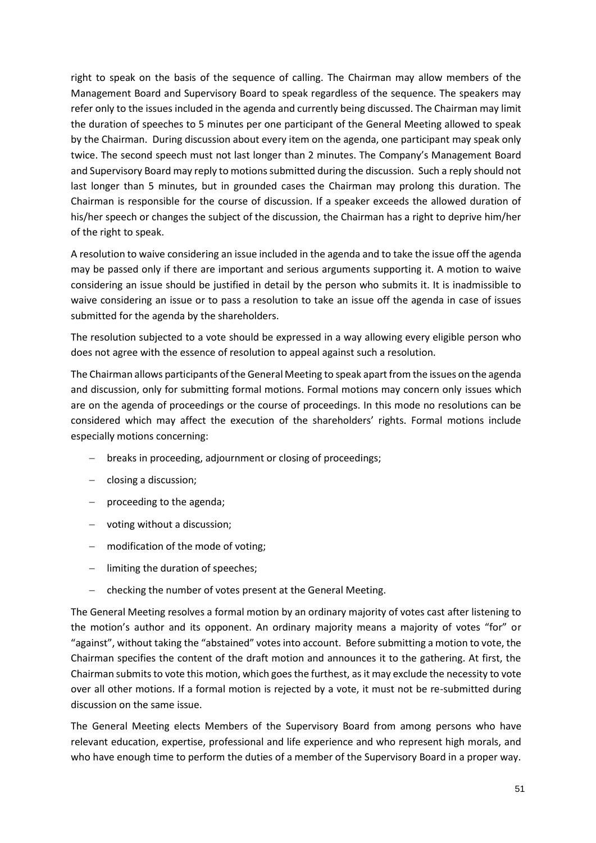right to speak on the basis of the sequence of calling. The Chairman may allow members of the Management Board and Supervisory Board to speak regardless of the sequence. The speakers may refer only to the issues included in the agenda and currently being discussed. The Chairman may limit the duration of speeches to 5 minutes per one participant of the General Meeting allowed to speak by the Chairman. During discussion about every item on the agenda, one participant may speak only twice. The second speech must not last longer than 2 minutes. The Company's Management Board and Supervisory Board may reply to motions submitted during the discussion. Such a reply should not last longer than 5 minutes, but in grounded cases the Chairman may prolong this duration. The Chairman is responsible for the course of discussion. If a speaker exceeds the allowed duration of his/her speech or changes the subject of the discussion, the Chairman has a right to deprive him/her of the right to speak.

A resolution to waive considering an issue included in the agenda and to take the issue off the agenda may be passed only if there are important and serious arguments supporting it. A motion to waive considering an issue should be justified in detail by the person who submits it. It is inadmissible to waive considering an issue or to pass a resolution to take an issue off the agenda in case of issues submitted for the agenda by the shareholders.

The resolution subjected to a vote should be expressed in a way allowing every eligible person who does not agree with the essence of resolution to appeal against such a resolution.

The Chairman allows participants of the General Meeting to speak apart from the issues on the agenda and discussion, only for submitting formal motions. Formal motions may concern only issues which are on the agenda of proceedings or the course of proceedings. In this mode no resolutions can be considered which may affect the execution of the shareholders' rights. Formal motions include especially motions concerning:

- − breaks in proceeding, adjournment or closing of proceedings;
- − closing a discussion;
- − proceeding to the agenda;
- − voting without a discussion;
- − modification of the mode of voting;
- − limiting the duration of speeches;
- − checking the number of votes present at the General Meeting.

The General Meeting resolves a formal motion by an ordinary majority of votes cast after listening to the motion's author and its opponent. An ordinary majority means a majority of votes "for" or "against", without taking the "abstained" votes into account. Before submitting a motion to vote, the Chairman specifies the content of the draft motion and announces it to the gathering. At first, the Chairman submits to vote this motion, which goes the furthest, as it may exclude the necessity to vote over all other motions. If a formal motion is rejected by a vote, it must not be re-submitted during discussion on the same issue.

The General Meeting elects Members of the Supervisory Board from among persons who have relevant education, expertise, professional and life experience and who represent high morals, and who have enough time to perform the duties of a member of the Supervisory Board in a proper way.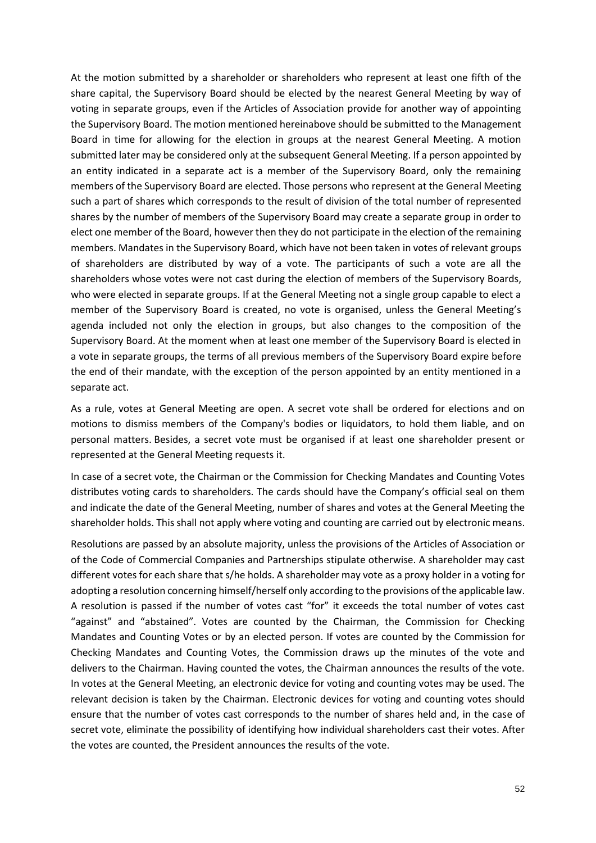At the motion submitted by a shareholder or shareholders who represent at least one fifth of the share capital, the Supervisory Board should be elected by the nearest General Meeting by way of voting in separate groups, even if the Articles of Association provide for another way of appointing the Supervisory Board. The motion mentioned hereinabove should be submitted to the Management Board in time for allowing for the election in groups at the nearest General Meeting. A motion submitted later may be considered only at the subsequent General Meeting. If a person appointed by an entity indicated in a separate act is a member of the Supervisory Board, only the remaining members of the Supervisory Board are elected. Those persons who represent at the General Meeting such a part of shares which corresponds to the result of division of the total number of represented shares by the number of members of the Supervisory Board may create a separate group in order to elect one member of the Board, however then they do not participate in the election of the remaining members. Mandates in the Supervisory Board, which have not been taken in votes of relevant groups of shareholders are distributed by way of a vote. The participants of such a vote are all the shareholders whose votes were not cast during the election of members of the Supervisory Boards, who were elected in separate groups. If at the General Meeting not a single group capable to elect a member of the Supervisory Board is created, no vote is organised, unless the General Meeting's agenda included not only the election in groups, but also changes to the composition of the Supervisory Board. At the moment when at least one member of the Supervisory Board is elected in a vote in separate groups, the terms of all previous members of the Supervisory Board expire before the end of their mandate, with the exception of the person appointed by an entity mentioned in a separate act.

As a rule, votes at General Meeting are open. A secret vote shall be ordered for elections and on motions to dismiss members of the Company's bodies or liquidators, to hold them liable, and on personal matters. Besides, a secret vote must be organised if at least one shareholder present or represented at the General Meeting requests it.

In case of a secret vote, the Chairman or the Commission for Checking Mandates and Counting Votes distributes voting cards to shareholders. The cards should have the Company's official seal on them and indicate the date of the General Meeting, number of shares and votes at the General Meeting the shareholder holds. This shall not apply where voting and counting are carried out by electronic means.

Resolutions are passed by an absolute majority, unless the provisions of the Articles of Association or of the Code of Commercial Companies and Partnerships stipulate otherwise. A shareholder may cast different votes for each share that s/he holds. A shareholder may vote as a proxy holder in a voting for adopting a resolution concerning himself/herself only according to the provisions of the applicable law. A resolution is passed if the number of votes cast "for" it exceeds the total number of votes cast "against" and "abstained". Votes are counted by the Chairman, the Commission for Checking Mandates and Counting Votes or by an elected person. If votes are counted by the Commission for Checking Mandates and Counting Votes, the Commission draws up the minutes of the vote and delivers to the Chairman. Having counted the votes, the Chairman announces the results of the vote. In votes at the General Meeting, an electronic device for voting and counting votes may be used. The relevant decision is taken by the Chairman. Electronic devices for voting and counting votes should ensure that the number of votes cast corresponds to the number of shares held and, in the case of secret vote, eliminate the possibility of identifying how individual shareholders cast their votes. After the votes are counted, the President announces the results of the vote.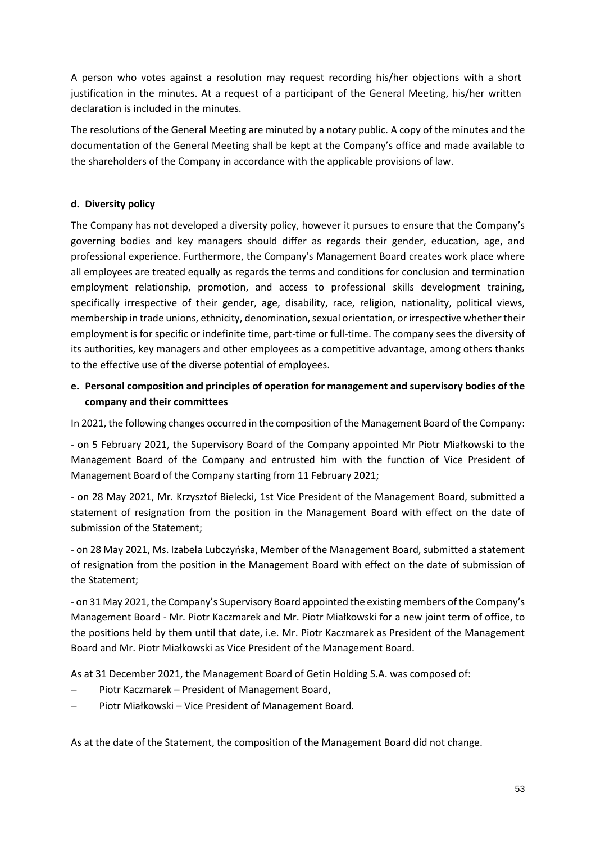A person who votes against a resolution may request recording his/her objections with a short justification in the minutes. At a request of a participant of the General Meeting, his/her written declaration is included in the minutes.

The resolutions of the General Meeting are minuted by a notary public. A copy of the minutes and the documentation of the General Meeting shall be kept at the Company's office and made available to the shareholders of the Company in accordance with the applicable provisions of law.

## **d. Diversity policy**

The Company has not developed a diversity policy, however it pursues to ensure that the Company's governing bodies and key managers should differ as regards their gender, education, age, and professional experience. Furthermore, the Company's Management Board creates work place where all employees are treated equally as regards the terms and conditions for conclusion and termination employment relationship, promotion, and access to professional skills development training, specifically irrespective of their gender, age, disability, race, religion, nationality, political views, membership in trade unions, ethnicity, denomination, sexual orientation, or irrespective whether their employment is for specific or indefinite time, part-time or full-time. The company sees the diversity of its authorities, key managers and other employees as a competitive advantage, among others thanks to the effective use of the diverse potential of employees.

# **e. Personal composition and principles of operation for management and supervisory bodies of the company and their committees**

In 2021, the following changes occurred in the composition of the Management Board of the Company:

- on 5 February 2021, the Supervisory Board of the Company appointed Mr Piotr Miałkowski to the Management Board of the Company and entrusted him with the function of Vice President of Management Board of the Company starting from 11 February 2021;

- on 28 May 2021, Mr. Krzysztof Bielecki, 1st Vice President of the Management Board, submitted a statement of resignation from the position in the Management Board with effect on the date of submission of the Statement;

- on 28 May 2021, Ms. Izabela Lubczyńska, Member of the Management Board, submitted a statement of resignation from the position in the Management Board with effect on the date of submission of the Statement;

- on 31 May 2021, the Company's Supervisory Board appointed the existing members of the Company's Management Board - Mr. Piotr Kaczmarek and Mr. Piotr Miałkowski for a new joint term of office, to the positions held by them until that date, i.e. Mr. Piotr Kaczmarek as President of the Management Board and Mr. Piotr Miałkowski as Vice President of the Management Board.

As at 31 December 2021, the Management Board of Getin Holding S.A. was composed of:

- − Piotr Kaczmarek President of Management Board,
- − Piotr Miałkowski Vice President of Management Board.

As at the date of the Statement, the composition of the Management Board did not change.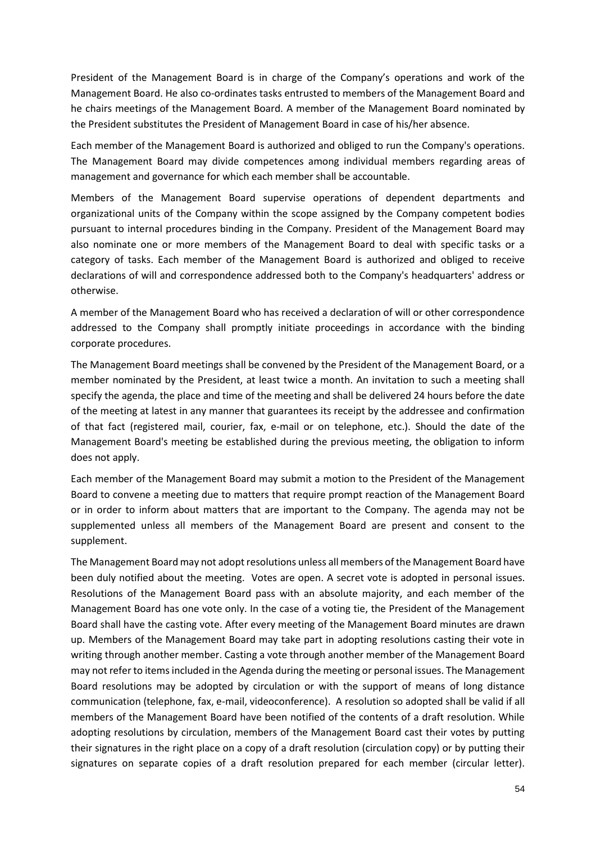President of the Management Board is in charge of the Company's operations and work of the Management Board. He also co-ordinates tasks entrusted to members of the Management Board and he chairs meetings of the Management Board. A member of the Management Board nominated by the President substitutes the President of Management Board in case of his/her absence.

Each member of the Management Board is authorized and obliged to run the Company's operations. The Management Board may divide competences among individual members regarding areas of management and governance for which each member shall be accountable.

Members of the Management Board supervise operations of dependent departments and organizational units of the Company within the scope assigned by the Company competent bodies pursuant to internal procedures binding in the Company. President of the Management Board may also nominate one or more members of the Management Board to deal with specific tasks or a category of tasks. Each member of the Management Board is authorized and obliged to receive declarations of will and correspondence addressed both to the Company's headquarters' address or otherwise.

A member of the Management Board who has received a declaration of will or other correspondence addressed to the Company shall promptly initiate proceedings in accordance with the binding corporate procedures.

The Management Board meetings shall be convened by the President of the Management Board, or a member nominated by the President, at least twice a month. An invitation to such a meeting shall specify the agenda, the place and time of the meeting and shall be delivered 24 hours before the date of the meeting at latest in any manner that guarantees its receipt by the addressee and confirmation of that fact (registered mail, courier, fax, e-mail or on telephone, etc.). Should the date of the Management Board's meeting be established during the previous meeting, the obligation to inform does not apply.

Each member of the Management Board may submit a motion to the President of the Management Board to convene a meeting due to matters that require prompt reaction of the Management Board or in order to inform about matters that are important to the Company. The agenda may not be supplemented unless all members of the Management Board are present and consent to the supplement.

The Management Board may not adopt resolutions unless all members of the Management Board have been duly notified about the meeting. Votes are open. A secret vote is adopted in personal issues. Resolutions of the Management Board pass with an absolute majority, and each member of the Management Board has one vote only. In the case of a voting tie, the President of the Management Board shall have the casting vote. After every meeting of the Management Board minutes are drawn up. Members of the Management Board may take part in adopting resolutions casting their vote in writing through another member. Casting a vote through another member of the Management Board may not refer to items included in the Agenda during the meeting or personal issues. The Management Board resolutions may be adopted by circulation or with the support of means of long distance communication (telephone, fax, e-mail, videoconference). A resolution so adopted shall be valid if all members of the Management Board have been notified of the contents of a draft resolution. While adopting resolutions by circulation, members of the Management Board cast their votes by putting their signatures in the right place on a copy of a draft resolution (circulation copy) or by putting their signatures on separate copies of a draft resolution prepared for each member (circular letter).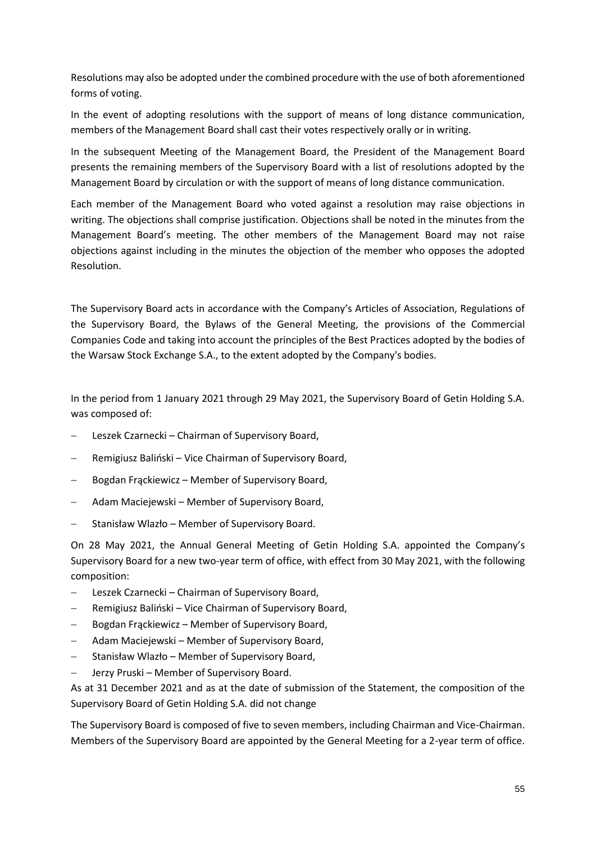Resolutions may also be adopted under the combined procedure with the use of both aforementioned forms of voting.

In the event of adopting resolutions with the support of means of long distance communication, members of the Management Board shall cast their votes respectively orally or in writing.

In the subsequent Meeting of the Management Board, the President of the Management Board presents the remaining members of the Supervisory Board with a list of resolutions adopted by the Management Board by circulation or with the support of means of long distance communication.

Each member of the Management Board who voted against a resolution may raise objections in writing. The objections shall comprise justification. Objections shall be noted in the minutes from the Management Board's meeting. The other members of the Management Board may not raise objections against including in the minutes the objection of the member who opposes the adopted Resolution.

The Supervisory Board acts in accordance with the Company's Articles of Association, Regulations of the Supervisory Board, the Bylaws of the General Meeting, the provisions of the Commercial Companies Code and taking into account the principles of the Best Practices adopted by the bodies of the Warsaw Stock Exchange S.A., to the extent adopted by the Company's bodies.

In the period from 1 January 2021 through 29 May 2021, the Supervisory Board of Getin Holding S.A. was composed of:

- − Leszek Czarnecki Chairman of Supervisory Board,
- − Remigiusz Baliński Vice Chairman of Supervisory Board,
- − Bogdan Frąckiewicz Member of Supervisory Board,
- − Adam Maciejewski Member of Supervisory Board,
- − Stanisław Wlazło Member of Supervisory Board.

On 28 May 2021, the Annual General Meeting of Getin Holding S.A. appointed the Company's Supervisory Board for a new two-year term of office, with effect from 30 May 2021, with the following composition:

- − Leszek Czarnecki Chairman of Supervisory Board,
- − Remigiusz Baliński Vice Chairman of Supervisory Board,
- − Bogdan Frąckiewicz Member of Supervisory Board,
- − Adam Maciejewski Member of Supervisory Board,
- − Stanisław Wlazło Member of Supervisory Board,
- − Jerzy Pruski Member of Supervisory Board.

As at 31 December 2021 and as at the date of submission of the Statement, the composition of the Supervisory Board of Getin Holding S.A. did not change

The Supervisory Board is composed of five to seven members, including Chairman and Vice-Chairman. Members of the Supervisory Board are appointed by the General Meeting for a 2-year term of office.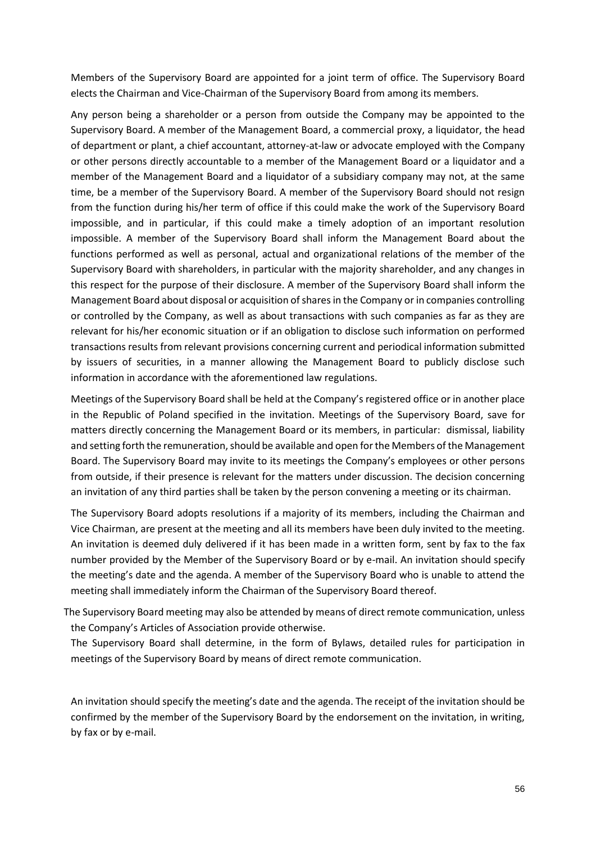Members of the Supervisory Board are appointed for a joint term of office. The Supervisory Board elects the Chairman and Vice-Chairman of the Supervisory Board from among its members.

Any person being a shareholder or a person from outside the Company may be appointed to the Supervisory Board. A member of the Management Board, a commercial proxy, a liquidator, the head of department or plant, a chief accountant, attorney-at-law or advocate employed with the Company or other persons directly accountable to a member of the Management Board or a liquidator and a member of the Management Board and a liquidator of a subsidiary company may not, at the same time, be a member of the Supervisory Board. A member of the Supervisory Board should not resign from the function during his/her term of office if this could make the work of the Supervisory Board impossible, and in particular, if this could make a timely adoption of an important resolution impossible. A member of the Supervisory Board shall inform the Management Board about the functions performed as well as personal, actual and organizational relations of the member of the Supervisory Board with shareholders, in particular with the majority shareholder, and any changes in this respect for the purpose of their disclosure. A member of the Supervisory Board shall inform the Management Board about disposal or acquisition of shares in the Company or in companies controlling or controlled by the Company, as well as about transactions with such companies as far as they are relevant for his/her economic situation or if an obligation to disclose such information on performed transactions results from relevant provisions concerning current and periodical information submitted by issuers of securities, in a manner allowing the Management Board to publicly disclose such information in accordance with the aforementioned law regulations.

Meetings of the Supervisory Board shall be held at the Company's registered office or in another place in the Republic of Poland specified in the invitation. Meetings of the Supervisory Board, save for matters directly concerning the Management Board or its members, in particular: dismissal, liability and setting forth the remuneration, should be available and open for the Members of the Management Board. The Supervisory Board may invite to its meetings the Company's employees or other persons from outside, if their presence is relevant for the matters under discussion. The decision concerning an invitation of any third parties shall be taken by the person convening a meeting or its chairman.

The Supervisory Board adopts resolutions if a majority of its members, including the Chairman and Vice Chairman, are present at the meeting and all its members have been duly invited to the meeting. An invitation is deemed duly delivered if it has been made in a written form, sent by fax to the fax number provided by the Member of the Supervisory Board or by e-mail. An invitation should specify the meeting's date and the agenda. A member of the Supervisory Board who is unable to attend the meeting shall immediately inform the Chairman of the Supervisory Board thereof.

The Supervisory Board meeting may also be attended by means of direct remote communication, unless the Company's Articles of Association provide otherwise.

The Supervisory Board shall determine, in the form of Bylaws, detailed rules for participation in meetings of the Supervisory Board by means of direct remote communication.

An invitation should specify the meeting's date and the agenda. The receipt of the invitation should be confirmed by the member of the Supervisory Board by the endorsement on the invitation, in writing, by fax or by e-mail.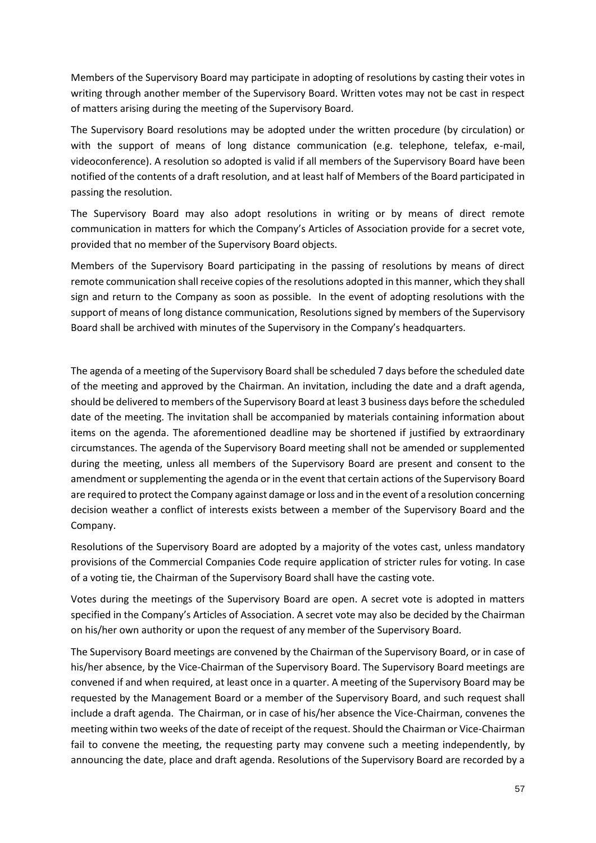Members of the Supervisory Board may participate in adopting of resolutions by casting their votes in writing through another member of the Supervisory Board. Written votes may not be cast in respect of matters arising during the meeting of the Supervisory Board.

The Supervisory Board resolutions may be adopted under the written procedure (by circulation) or with the support of means of long distance communication (e.g. telephone, telefax, e-mail, videoconference). A resolution so adopted is valid if all members of the Supervisory Board have been notified of the contents of a draft resolution, and at least half of Members of the Board participated in passing the resolution.

The Supervisory Board may also adopt resolutions in writing or by means of direct remote communication in matters for which the Company's Articles of Association provide for a secret vote, provided that no member of the Supervisory Board objects.

Members of the Supervisory Board participating in the passing of resolutions by means of direct remote communication shall receive copies of the resolutions adopted in this manner, which they shall sign and return to the Company as soon as possible. In the event of adopting resolutions with the support of means of long distance communication, Resolutions signed by members of the Supervisory Board shall be archived with minutes of the Supervisory in the Company's headquarters.

The agenda of a meeting of the Supervisory Board shall be scheduled 7 days before the scheduled date of the meeting and approved by the Chairman. An invitation, including the date and a draft agenda, should be delivered to members of the Supervisory Board at least 3 business days before the scheduled date of the meeting. The invitation shall be accompanied by materials containing information about items on the agenda. The aforementioned deadline may be shortened if justified by extraordinary circumstances. The agenda of the Supervisory Board meeting shall not be amended or supplemented during the meeting, unless all members of the Supervisory Board are present and consent to the amendment or supplementing the agenda or in the event that certain actions of the Supervisory Board are required to protect the Company against damage or loss and in the event of a resolution concerning decision weather a conflict of interests exists between a member of the Supervisory Board and the Company.

Resolutions of the Supervisory Board are adopted by a majority of the votes cast, unless mandatory provisions of the Commercial Companies Code require application of stricter rules for voting. In case of a voting tie, the Chairman of the Supervisory Board shall have the casting vote.

Votes during the meetings of the Supervisory Board are open. A secret vote is adopted in matters specified in the Company's Articles of Association. A secret vote may also be decided by the Chairman on his/her own authority or upon the request of any member of the Supervisory Board.

The Supervisory Board meetings are convened by the Chairman of the Supervisory Board, or in case of his/her absence, by the Vice-Chairman of the Supervisory Board. The Supervisory Board meetings are convened if and when required, at least once in a quarter. A meeting of the Supervisory Board may be requested by the Management Board or a member of the Supervisory Board, and such request shall include a draft agenda. The Chairman, or in case of his/her absence the Vice-Chairman, convenes the meeting within two weeks of the date of receipt of the request. Should the Chairman or Vice-Chairman fail to convene the meeting, the requesting party may convene such a meeting independently, by announcing the date, place and draft agenda. Resolutions of the Supervisory Board are recorded by a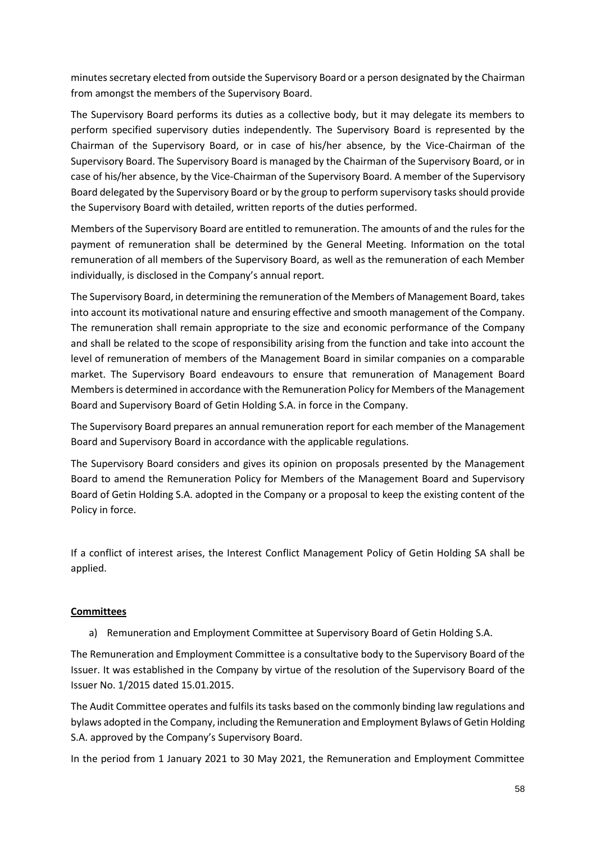minutes secretary elected from outside the Supervisory Board or a person designated by the Chairman from amongst the members of the Supervisory Board.

The Supervisory Board performs its duties as a collective body, but it may delegate its members to perform specified supervisory duties independently. The Supervisory Board is represented by the Chairman of the Supervisory Board, or in case of his/her absence, by the Vice-Chairman of the Supervisory Board. The Supervisory Board is managed by the Chairman of the Supervisory Board, or in case of his/her absence, by the Vice-Chairman of the Supervisory Board. A member of the Supervisory Board delegated by the Supervisory Board or by the group to perform supervisory tasks should provide the Supervisory Board with detailed, written reports of the duties performed.

Members of the Supervisory Board are entitled to remuneration. The amounts of and the rules for the payment of remuneration shall be determined by the General Meeting. Information on the total remuneration of all members of the Supervisory Board, as well as the remuneration of each Member individually, is disclosed in the Company's annual report.

The Supervisory Board, in determining the remuneration of the Members of Management Board, takes into account its motivational nature and ensuring effective and smooth management of the Company. The remuneration shall remain appropriate to the size and economic performance of the Company and shall be related to the scope of responsibility arising from the function and take into account the level of remuneration of members of the Management Board in similar companies on a comparable market. The Supervisory Board endeavours to ensure that remuneration of Management Board Members is determined in accordance with the Remuneration Policy for Members of the Management Board and Supervisory Board of Getin Holding S.A. in force in the Company.

The Supervisory Board prepares an annual remuneration report for each member of the Management Board and Supervisory Board in accordance with the applicable regulations.

The Supervisory Board considers and gives its opinion on proposals presented by the Management Board to amend the Remuneration Policy for Members of the Management Board and Supervisory Board of Getin Holding S.A. adopted in the Company or a proposal to keep the existing content of the Policy in force.

If a conflict of interest arises, the Interest Conflict Management Policy of Getin Holding SA shall be applied.

## **Committees**

a) Remuneration and Employment Committee at Supervisory Board of Getin Holding S.A.

The Remuneration and Employment Committee is a consultative body to the Supervisory Board of the Issuer. It was established in the Company by virtue of the resolution of the Supervisory Board of the Issuer No. 1/2015 dated 15.01.2015.

The Audit Committee operates and fulfils its tasks based on the commonly binding law regulations and bylaws adopted in the Company, including the Remuneration and Employment Bylaws of Getin Holding S.A. approved by the Company's Supervisory Board.

In the period from 1 January 2021 to 30 May 2021, the Remuneration and Employment Committee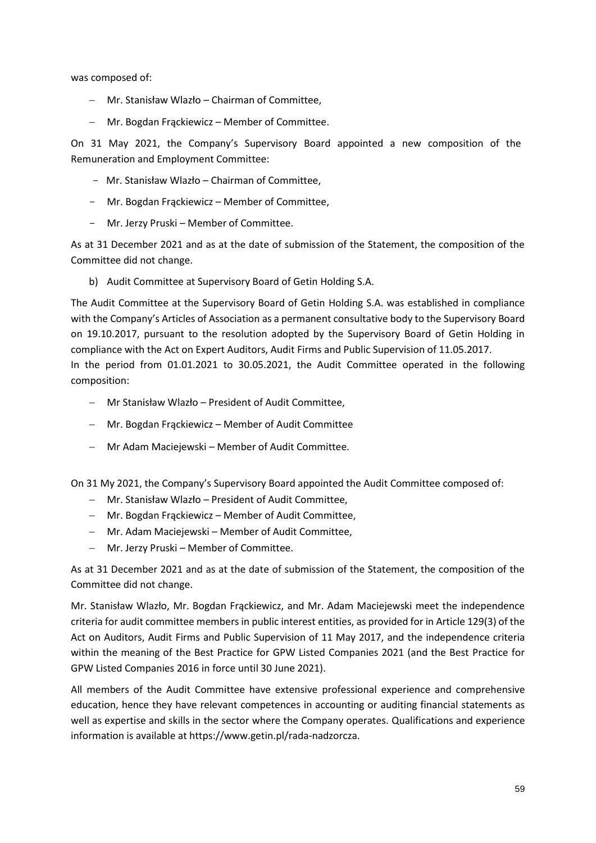was composed of:

- − Mr. Stanisław Wlazło Chairman of Committee,
- − Mr. Bogdan Frąckiewicz Member of Committee.

On 31 May 2021, the Company's Supervisory Board appointed a new composition of the Remuneration and Employment Committee:

- Mr. Stanisław Wlazło Chairman of Committee,
- Mr. Bogdan Frąckiewicz Member of Committee,
- Mr. Jerzy Pruski Member of Committee.

As at 31 December 2021 and as at the date of submission of the Statement, the composition of the Committee did not change.

b) Audit Committee at Supervisory Board of Getin Holding S.A.

The Audit Committee at the Supervisory Board of Getin Holding S.A. was established in compliance with the Company's Articles of Association as a permanent consultative body to the Supervisory Board on 19.10.2017, pursuant to the resolution adopted by the Supervisory Board of Getin Holding in compliance with the Act on Expert Auditors, Audit Firms and Public Supervision of 11.05.2017. In the period from 01.01.2021 to 30.05.2021, the Audit Committee operated in the following composition:

- − Mr Stanisław Wlazło President of Audit Committee,
- − Mr. Bogdan Frąckiewicz Member of Audit Committee
- − Mr Adam Maciejewski Member of Audit Committee.

On 31 My 2021, the Company's Supervisory Board appointed the Audit Committee composed of:

- − Mr. Stanisław Wlazło President of Audit Committee,
- − Mr. Bogdan Frąckiewicz Member of Audit Committee,
- − Mr. Adam Maciejewski Member of Audit Committee,
- − Mr. Jerzy Pruski Member of Committee.

As at 31 December 2021 and as at the date of submission of the Statement, the composition of the Committee did not change.

Mr. Stanisław Wlazło, Mr. Bogdan Frąckiewicz, and Mr. Adam Maciejewski meet the independence criteria for audit committee members in public interest entities, as provided for in Article 129(3) of the Act on Auditors, Audit Firms and Public Supervision of 11 May 2017, and the independence criteria within the meaning of the Best Practice for GPW Listed Companies 2021 (and the Best Practice for GPW Listed Companies 2016 in force until 30 June 2021).

All members of the Audit Committee have extensive professional experience and comprehensive education, hence they have relevant competences in accounting or auditing financial statements as well as expertise and skills in the sector where the Company operates. Qualifications and experience information is available at https://www.getin.pl/rada-nadzorcza.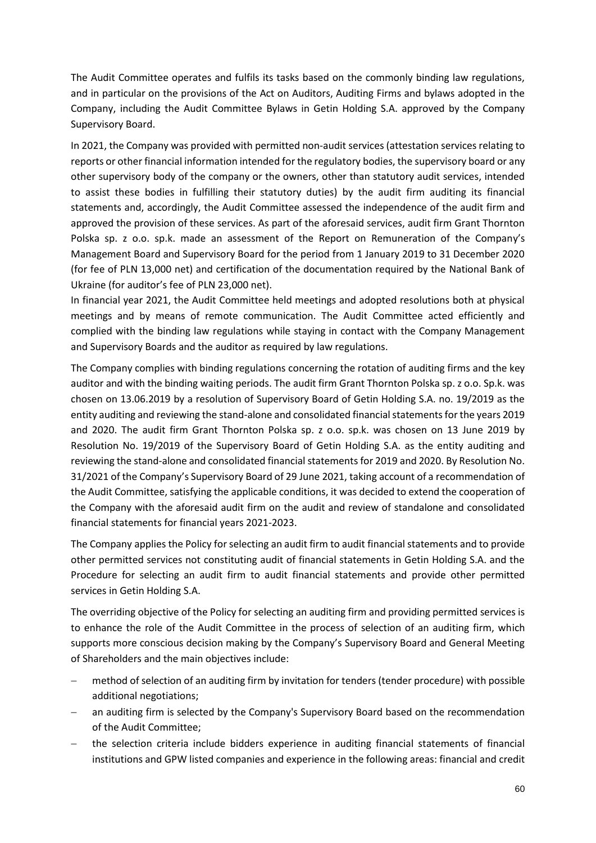The Audit Committee operates and fulfils its tasks based on the commonly binding law regulations, and in particular on the provisions of the Act on Auditors, Auditing Firms and bylaws adopted in the Company, including the Audit Committee Bylaws in Getin Holding S.A. approved by the Company Supervisory Board.

In 2021, the Company was provided with permitted non-audit services (attestation services relating to reports or other financial information intended for the regulatory bodies, the supervisory board or any other supervisory body of the company or the owners, other than statutory audit services, intended to assist these bodies in fulfilling their statutory duties) by the audit firm auditing its financial statements and, accordingly, the Audit Committee assessed the independence of the audit firm and approved the provision of these services. As part of the aforesaid services, audit firm Grant Thornton Polska sp. z o.o. sp.k. made an assessment of the Report on Remuneration of the Company's Management Board and Supervisory Board for the period from 1 January 2019 to 31 December 2020 (for fee of PLN 13,000 net) and certification of the documentation required by the National Bank of Ukraine (for auditor's fee of PLN 23,000 net).

In financial year 2021, the Audit Committee held meetings and adopted resolutions both at physical meetings and by means of remote communication. The Audit Committee acted efficiently and complied with the binding law regulations while staying in contact with the Company Management and Supervisory Boards and the auditor as required by law regulations.

The Company complies with binding regulations concerning the rotation of auditing firms and the key auditor and with the binding waiting periods. The audit firm Grant Thornton Polska sp. z o.o. Sp.k. was chosen on 13.06.2019 by a resolution of Supervisory Board of Getin Holding S.A. no. 19/2019 as the entity auditing and reviewing the stand-alone and consolidated financial statements for the years 2019 and 2020. The audit firm Grant Thornton Polska sp. z o.o. sp.k. was chosen on 13 June 2019 by Resolution No. 19/2019 of the Supervisory Board of Getin Holding S.A. as the entity auditing and reviewing the stand-alone and consolidated financial statements for 2019 and 2020. By Resolution No. 31/2021 of the Company's Supervisory Board of 29 June 2021, taking account of a recommendation of the Audit Committee, satisfying the applicable conditions, it was decided to extend the cooperation of the Company with the aforesaid audit firm on the audit and review of standalone and consolidated financial statements for financial years 2021-2023.

The Company applies the Policy for selecting an audit firm to audit financial statements and to provide other permitted services not constituting audit of financial statements in Getin Holding S.A. and the Procedure for selecting an audit firm to audit financial statements and provide other permitted services in Getin Holding S.A.

The overriding objective of the Policy for selecting an auditing firm and providing permitted services is to enhance the role of the Audit Committee in the process of selection of an auditing firm, which supports more conscious decision making by the Company's Supervisory Board and General Meeting of Shareholders and the main objectives include:

- method of selection of an auditing firm by invitation for tenders (tender procedure) with possible additional negotiations;
- an auditing firm is selected by the Company's Supervisory Board based on the recommendation of the Audit Committee;
- − the selection criteria include bidders experience in auditing financial statements of financial institutions and GPW listed companies and experience in the following areas: financial and credit